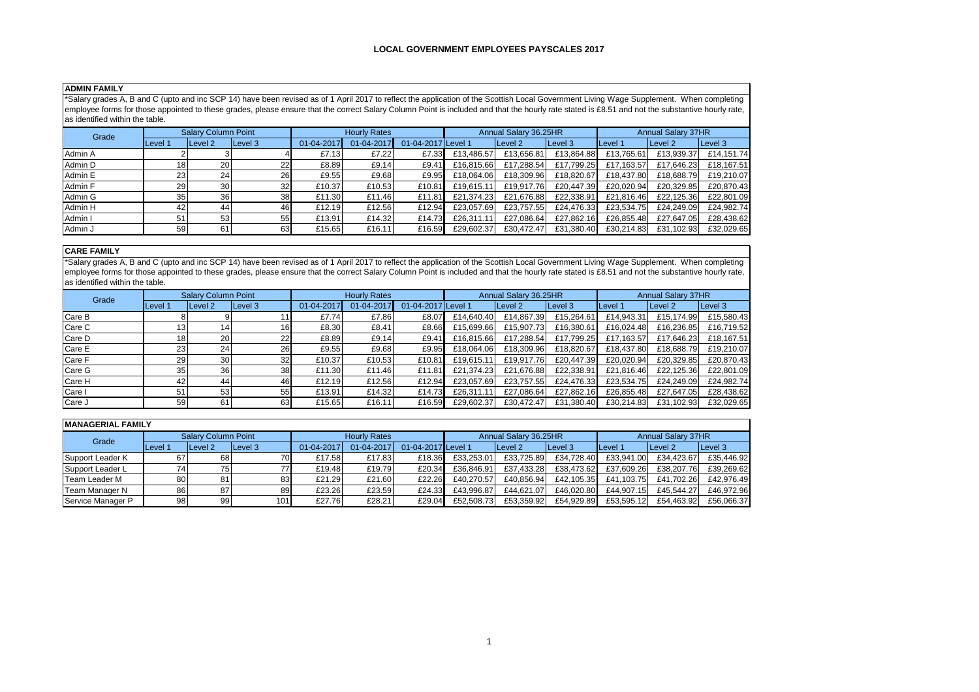## **ADMIN FAMILY**

\*Salary grades A, B and C (upto and inc SCP 14) have been revised as of 1 April 2017 to reflect the application of the Scottish Local Government Living Wage Supplement. When completing employee forms for those appointed to these grades, please ensure that the correct Salary Column Point is included and that the hourly rate stated is £8.51 and not the substantive hourly rate,  $\overline{\phantom{a}}$  as identified within the table.

| Grade   | <b>Salary Column Point</b> |                    |         | <b>Hourly Rates</b> |            |                    | Annual Salary 36.25HR |            |            | <b>Annual Salary 37HR</b> |                    |            |
|---------|----------------------------|--------------------|---------|---------------------|------------|--------------------|-----------------------|------------|------------|---------------------------|--------------------|------------|
|         | Level 1                    | Level <sub>2</sub> | Level 3 | 01-04-2017          | 01-04-2017 | 01-04-2017 Level 1 |                       | Level 2    | Level 3    | Level 1                   | Level <sub>2</sub> | Level 3    |
| Admin A |                            |                    |         | £7.13               | £7.22      | £7.33              | £13.486.57            | £13.656.81 | £13.864.88 | £13.765.61                | £13,939.37         | £14.151.74 |
| Admin D | 18                         | <b>20</b>          | 221     | £8.89               | £9.14      | £9.41              | £16.815.66            | £17.288.54 | £17.799.25 | £17.163.57                | £17.646.23         | £18.167.51 |
| Admin E | 23 <sub>l</sub>            | 241                | 26      | £9.55               | £9.68      | £9.95              | £18.064.06            | £18.309.96 | £18.820.67 | £18.437.80                | £18.688.79         | £19.210.07 |
| Admin F | 29                         | 30 <sup>1</sup>    | 32      | £10.37              | £10.53     | £10.81             | £19.615.11            | £19.917.76 | £20.447.39 | £20.020.94                | £20,329.85         | £20.870.43 |
| Admin G | 35                         | <b>36</b>          | 38      | £11.30              | £11.46     | £11.81             | £21.374.23            | £21.676.88 | £22.338.91 | £21.816.46                | £22,125.36         | £22.801.09 |
| Admin H | 42                         | 44                 | 461     | £12.19              | £12.56     | £12.94             | £23.057.69            | £23.757.55 | £24.476.33 | £23.534.75                | £24.249.09         | £24.982.74 |
| Admin I | 51                         | 53 <sub>1</sub>    | 55      | £13.91              | £14.32     | £14.73             | £26.311.11            | £27.086.64 | £27.862.16 | £26.855.48                | £27.647.05         | £28,438.62 |
| Admin J | 59                         | 61                 | 63      | £15.65              | £16.11     | £16.59             | £29.602.37            | £30.472.47 | £31,380.40 | £30.214.83                | £31,102.93         | £32.029.65 |

## **CARE FAMILY**

\*Salary grades A, B and C (upto and inc SCP 14) have been revised as of 1 April 2017 to reflect the application of the Scottish Local Government Living Wage Supplement. When completing employee forms for those appointed to these grades, please ensure that the correct Salary Column Point is included and that the hourly rate stated is £8.51 and not the substantive hourly rate, as identified within the table.

| Grade  |                 | <b>Salary Column Point</b> |                 | <b>Hourly Rates</b> |            |                    | Annual Salary 36.25HR |            |            | <b>Annual Salary 37HR</b> |            |            |
|--------|-----------------|----------------------------|-----------------|---------------------|------------|--------------------|-----------------------|------------|------------|---------------------------|------------|------------|
|        | Level 1         | Level <sub>2</sub>         | Level 3         | 01-04-2017          | 01-04-2017 | 01-04-2017 Level 1 |                       | Level 2    | Level 3    | Level 1                   | Level 2    | Level 3    |
| Care B |                 |                            |                 | £7.74               | £7.86      | £8.07              | £14.640.40            | £14,867.39 | £15,264.61 | £14,943.31                | £15,174.99 | £15,580.43 |
| Care C | 13              |                            | 16.             | £8.30               | £8.41      | £8.66              | £15.699.66            | £15.907.73 | £16.380.61 | £16.024.48                | £16,236.85 | £16,719.52 |
| Care D | 18 <sub>1</sub> | 201                        | 22              | £8.89               | £9.14      | £9.41              | £16.815.66            | £17.288.54 | £17.799.25 | £17.163.57                | £17,646.23 | £18.167.51 |
| Care E | 23              | 24                         | 26              | £9.55               | £9.68      | £9.95              | £18.064.06            | £18,309.96 | £18.820.67 | £18.437.80                | £18,688.79 | £19,210.07 |
| Care F | 29              | 30 <sup>l</sup>            | 32 <sub>l</sub> | £10.37              | £10.53     | £10.81             | £19.615.11            | £19.917.76 | £20.447.39 | £20.020.94                | £20,329.85 | £20.870.43 |
| Care G | 35              | 36                         | 38              | £11.30              | £11.46     | £11.81             | £21,374.23            | £21.676.88 | £22,338.91 | £21,816.46                | £22,125.36 | £22,801.09 |
| Care H | 42              | 44                         | 46              | £12.19              | £12.56     | £12.94             | £23.057.69            | £23.757.55 | £24.476.33 | £23.534.75                | £24,249.09 | £24.982.74 |
| Care I | 51              | 53                         | 55              | £13.91              | £14.32     | £14.73             | £26.311.11            | £27.086.64 | £27.862.16 | £26,855.48                | £27,647.05 | £28,438.62 |
| Care J | 59              | 61                         | 63              | £15.65              | £16.11     | £16.59             | £29.602.37            | £30.472.47 | £31,380.40 | £30.214.83                | £31,102.93 | £32,029.65 |

| <b>MANAGERIAL FAMILY</b> |         |                            |         |                     |            |                    |                       |            |            |                           |                    |            |
|--------------------------|---------|----------------------------|---------|---------------------|------------|--------------------|-----------------------|------------|------------|---------------------------|--------------------|------------|
| Grade                    |         | <b>Salary Column Point</b> |         | <b>Hourly Rates</b> |            |                    | Annual Salary 36.25HR |            |            | <b>Annual Salary 37HR</b> |                    |            |
|                          | Level 1 | <b>ILevel 2</b>            | Level 3 | 01-04-2017          | 01-04-2017 | 01-04-2017 Level 1 |                       | Level 2    | Level 3    | Level 1                   | Level <sub>2</sub> | Level 3    |
| Support Leader K         | 67      | 68                         | 70      | £17.58              | £17.83     | £18.36             | £33.253.01            | £33.725.89 | £34.728.40 | £33.941.00                | £34.423.67         | £35.446.92 |
| Support Leader L         |         | 75                         | 77      | £19.48              | £19.79     | £20.34             | £36.846.91            | £37.433.28 | £38.473.62 | £37.609.26                | £38,207.76         | £39.269.62 |
| Team Leader M            | 80      | 81                         | 83      | £21.29              | £21.60     | £22.26             | £40.270.57            | £40.856.94 | £42.105.35 | £41.103.75                | £41.702.26         | £42.976.49 |
| Team Manager N           | 861     | 871                        | 89      | £23.26              | £23.59     | £24.33             | £43.996.87            | £44.621.07 | £46.020.80 | £44.907.15                | £45.544.27         | £46.972.96 |
| Service Manager P        | 98      | 99                         | 101     | £27.76              | £28.21     | £29.04             | £52.508.73            | £53.359.92 | £54.929.89 | £53.595.12                | £54.463.92         | £56.066.37 |